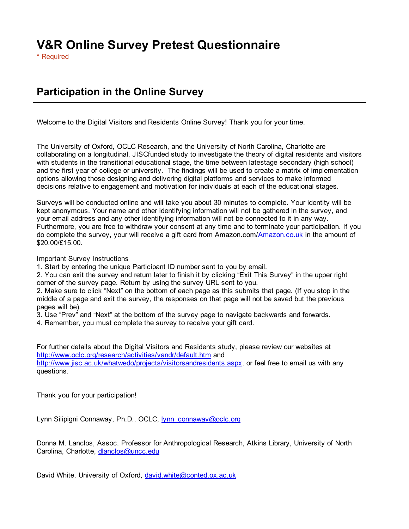# V&R Online Survey Pretest Questionnaire

\* Required

## Participation in the Online Survey

Welcome to the Digital Visitors and Residents Online Survey! Thank you for your time.

The University of Oxford, OCLC Research, and the University of North Carolina, Charlotte are collaborating on a longitudinal, JISCfunded study to investigate the theory of digital residents and visitors with students in the transitional educational stage, the time between latestage secondary (high school) and the first year of college or university. The findings will be used to create a matrix of implementation options allowing those designing and delivering digital platforms and services to make informed decisions relative to engagement and motivation for individuals at each of the educational stages.

Surveys will be conducted online and will take you about 30 minutes to complete. Your identity will be kept anonymous. Your name and other identifying information will not be gathered in the survey, and your email address and any other identifying information will not be connected to it in any way. Furthermore, you are free to withdraw your consent at any time and to terminate your participation. If you do complete the survey, your will receive a gift card from Amazon.com/Amazon.co.uk in the amount of \$20.00/£15.00.

Important Survey Instructions

1. Start by entering the unique Participant ID number sent to you by email.

2. You can exit the survey and return later to finish it by clicking "Exit This Survey" in the upper right corner of the survey page. Return by using the survey URL sent to you.

2. Make sure to click "Next" on the bottom of each page as this submits that page. (If you stop in the middle of a page and exit the survey, the responses on that page will not be saved but the previous pages will be).

- 3. Use "Prev" and "Next" at the bottom of the survey page to navigate backwards and forwards.
- 4. Remember, you must complete the survey to receive your gift card.

For further details about the Digital Visitors and Residents study, please review our websites at http://www.oclc.org/research/activities/vandr/default.htm and http://www.jisc.ac.uk/whatwedo/projects/visitorsandresidents.aspx, or feel free to email us with any questions.

Thank you for your participation!

Lynn Silipigni Connaway, Ph.D., OCLC, lynn\_connaway@oclc.org

Donna M. Lanclos, Assoc. Professor for Anthropological Research, Atkins Library, University of North Carolina, Charlotte, dlanclos@uncc.edu

David White, University of Oxford, david.white@conted.ox.ac.uk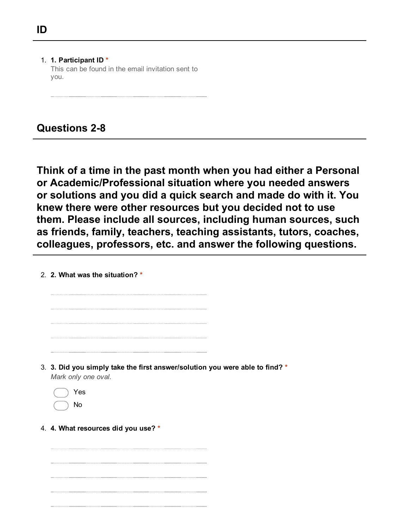1. 1. Participant ID \* This can be found in the email invitation sent to you.

**Questions 2-8** 

Think of a time in the past month when you had either a Personal or Academic/Professional situation where you needed answers or solutions and you did a quick search and made do with it. You knew there were other resources but you decided not to use them. Please include all sources, including human sources, such as friends, family, teachers, teaching assistants, tutors, coaches, colleagues, professors, etc. and answer the following questions.

2. 2. What was the situation? \*

- 3. 3. Did you simply take the first answer/solution you were able to find? \* *Mark only one oval.*
	- Yes No
- 4. 4. What resources did you use? \*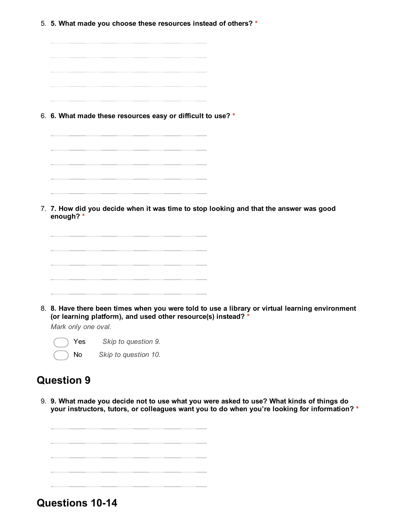- 5. 5. What made you choose these resources instead of others? \*
	- . . . . . . . . . . . . . . . . . . . .
- 6. 6. What made these resources easy or difficult to use? \*

7. 7. How did you decide when it was time to stop looking and that the answer was good enough? \*



8. 8. Have there been times when you were told to use a library or virtual learning environment (or learning platform), and used other resource(s) instead? \*

*Mark only one oval.*

Yes *Skip to question 9.* No *Skip to question 10.*

### Question 9

9. 9. What made you decide not to use what you were asked to use? What kinds of things do your instructors, tutors, or colleagues want you to do when you're looking for information? \*

Questions 10-14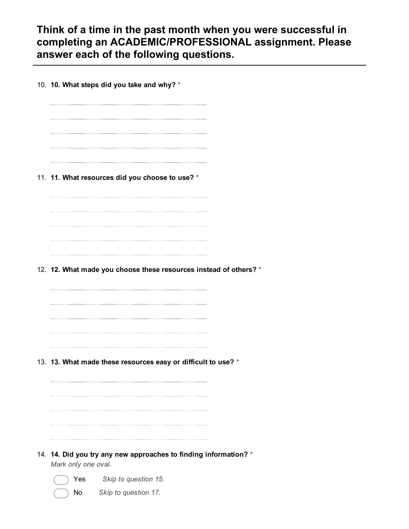Think of a time in the past month when you were successful in completing an ACADEMIC/PROFESSIONAL assignment. Please answer each of the following questions.

10. 10. What steps did you take and why? \* 11. 11. What resources did you choose to use? \* 12. 12. What made you choose these resources instead of others? \* 13. 13. What made these resources easy or difficult to use? \* 14. 14. Did you try any new approaches to finding information? \* *Mark only one oval.* Yes *Skip to question 15.*

No *Skip to question 17.*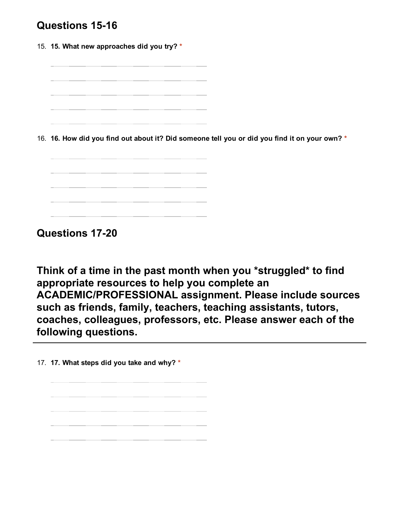## Questions 15-16

15. 15. What new approaches did you try? \*

16. 16. How did you find out about it? Did someone tell you or did you find it on your own? \*



Questions 17-20

Think of a time in the past month when you \*struggled\* to find appropriate resources to help you complete an ACADEMIC/PROFESSIONAL assignment. Please include sources such as friends, family, teachers, teaching assistants, tutors, coaches, colleagues, professors, etc. Please answer each of the following questions.

17. 17. What steps did you take and why? \*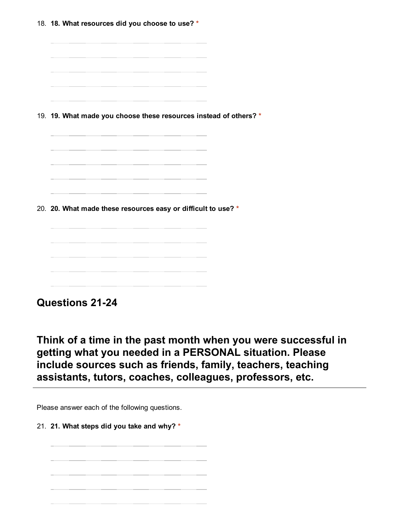18. 18. What resources did you choose to use? \* 19. 19. What made you choose these resources instead of others? \* 20. 20. What made these resources easy or difficult to use? \* 

Questions 21-24

Think of a time in the past month when you were successful in getting what you needed in a PERSONAL situation. Please include sources such as friends, family, teachers, teaching assistants, tutors, coaches, colleagues, professors, etc.

Please answer each of the following questions.

21. 21. What steps did you take and why? \*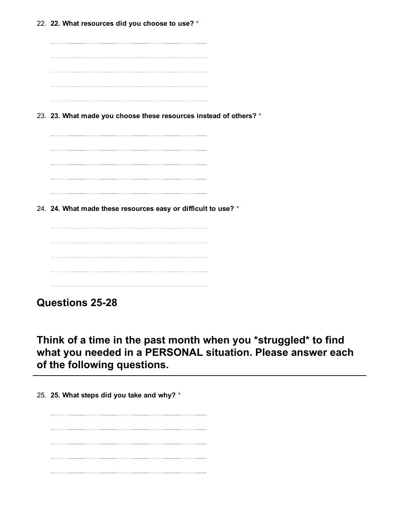22. 22. What resources did you choose to use? \* 23. 23. What made you choose these resources instead of others? \* 24. 24. What made these resources easy or difficult to use? \* 

Think of a time in the past month when you \*struggled\* to find what you needed in a PERSONAL situation. Please answer each of the following questions.

25. 25. What steps did you take and why? \*

Questions 25-28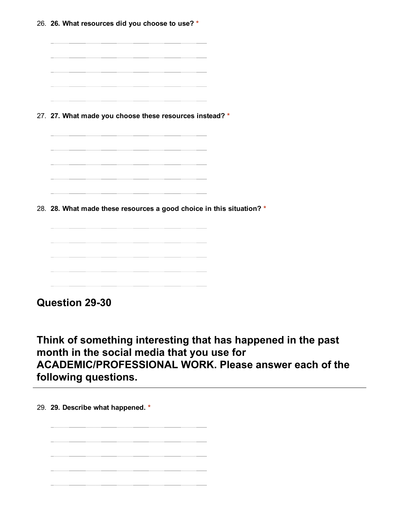| 26. 26. What resources did you choose to use? *                      |  |
|----------------------------------------------------------------------|--|
|                                                                      |  |
|                                                                      |  |
|                                                                      |  |
|                                                                      |  |
| 27. 27. What made you choose these resources instead? *              |  |
|                                                                      |  |
|                                                                      |  |
|                                                                      |  |
|                                                                      |  |
| 28. 28. What made these resources a good choice in this situation? * |  |
|                                                                      |  |
|                                                                      |  |
|                                                                      |  |
|                                                                      |  |

Question 29-30

Think of something interesting that has happened in the past month in the social media that you use for ACADEMIC/PROFESSIONAL WORK. Please answer each of the following questions.

29. 29. Describe what happened. \*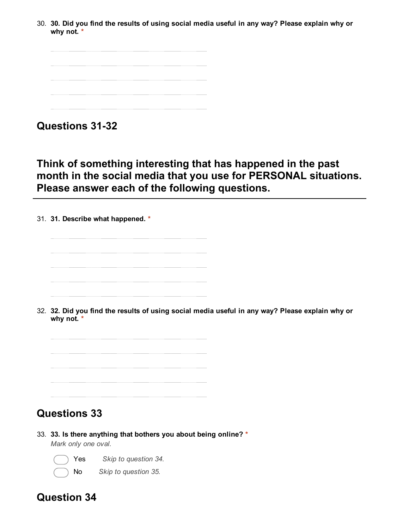30. 30. Did you find the results of using social media useful in any way? Please explain why or why not. \*

**Questions 31-32** 

Think of something interesting that has happened in the past month in the social media that you use for PERSONAL situations. Please answer each of the following questions.

31. 31. Describe what happened. \*



32. 32. Did you find the results of using social media useful in any way? Please explain why or why not. \*



## Questions 33

33. 33. Is there anything that bothers you about being online? \* *Mark only one oval.*



Yes *Skip to question 34.*

No *Skip to question 35.*

## Question 34